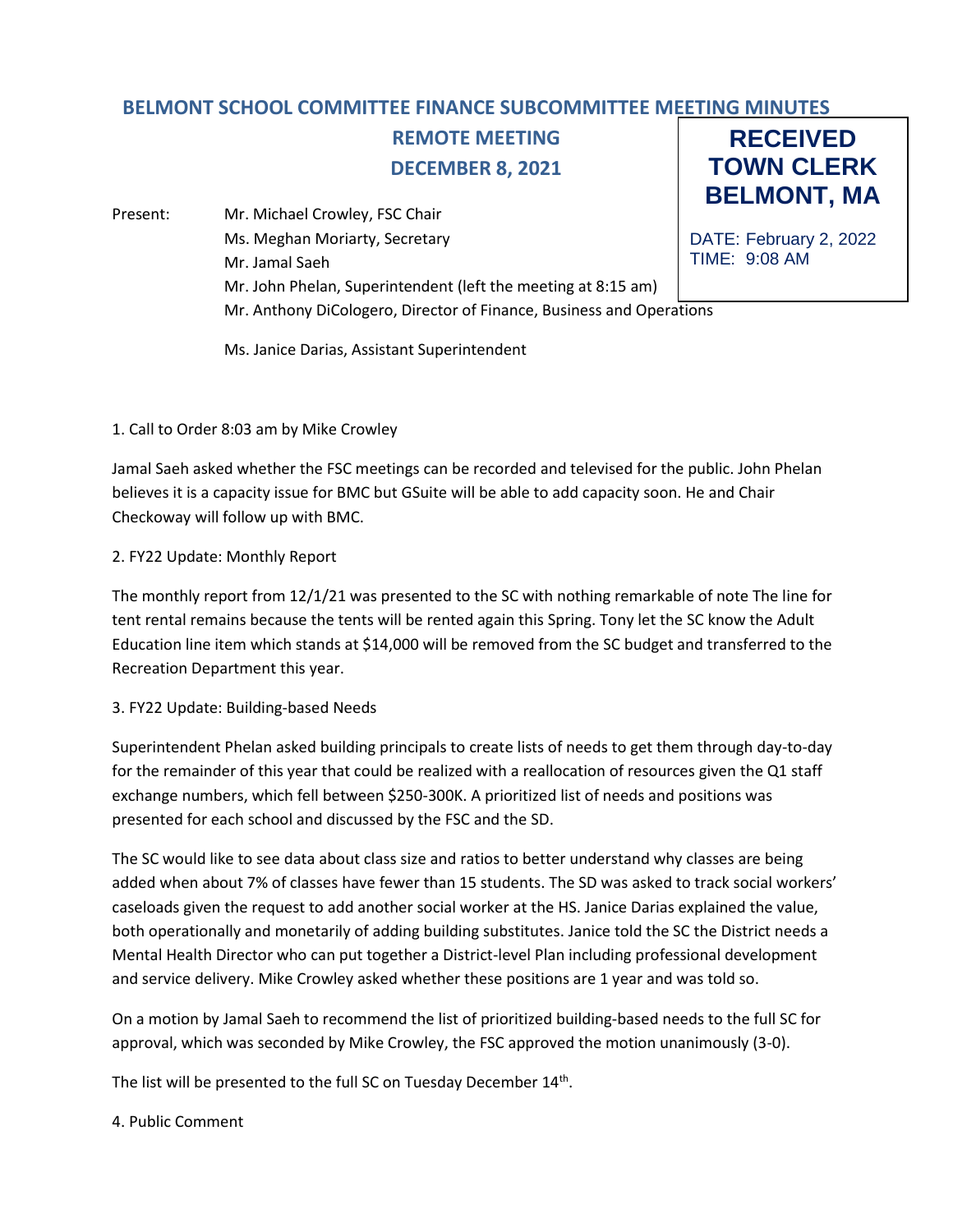## **BELMONT SCHOOL COMMITTEE FINANCE SUBCOMMITTEE MEETING MINUTES**

# **REMOTE MEETING DECEMBER 8, 2021**

Present: Mr. Michael Crowley, FSC Chair Ms. Meghan Moriarty, Secretary Mr. Jamal Saeh Mr. John Phelan, Superintendent (left the meeting at 8:15 am) Mr. Anthony DiCologero, Director of Finance, Business and Operations

**RECEIVED TOWN CLERK BELMONT, MA**

DATE: February 2, 2022 TIME: 9:08 AM

Ms. Janice Darias, Assistant Superintendent

### 1. Call to Order 8:03 am by Mike Crowley

Jamal Saeh asked whether the FSC meetings can be recorded and televised for the public. John Phelan believes it is a capacity issue for BMC but GSuite will be able to add capacity soon. He and Chair Checkoway will follow up with BMC.

### 2. FY22 Update: Monthly Report

The monthly report from 12/1/21 was presented to the SC with nothing remarkable of note The line for tent rental remains because the tents will be rented again this Spring. Tony let the SC know the Adult Education line item which stands at \$14,000 will be removed from the SC budget and transferred to the Recreation Department this year.

### 3. FY22 Update: Building-based Needs

Superintendent Phelan asked building principals to create lists of needs to get them through day-to-day for the remainder of this year that could be realized with a reallocation of resources given the Q1 staff exchange numbers, which fell between \$250-300K. A prioritized list of needs and positions was presented for each school and discussed by the FSC and the SD.

The SC would like to see data about class size and ratios to better understand why classes are being added when about 7% of classes have fewer than 15 students. The SD was asked to track social workers' caseloads given the request to add another social worker at the HS. Janice Darias explained the value, both operationally and monetarily of adding building substitutes. Janice told the SC the District needs a Mental Health Director who can put together a District-level Plan including professional development and service delivery. Mike Crowley asked whether these positions are 1 year and was told so.

On a motion by Jamal Saeh to recommend the list of prioritized building-based needs to the full SC for approval, which was seconded by Mike Crowley, the FSC approved the motion unanimously (3-0).

The list will be presented to the full SC on Tuesday December 14<sup>th</sup>.

### 4. Public Comment